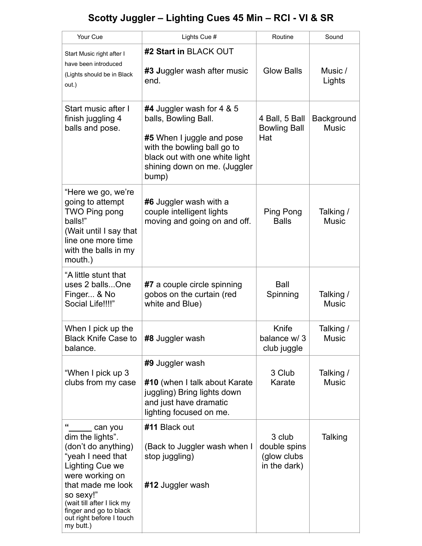## **Scotty Juggler – Lighting Cues 45 Min – RCI - VI & SR**

| Your Cue                                                                                                                                                                                                                                              | Lights Cue #                                                                                                                                                                             | Routine                                               | Sound                      |
|-------------------------------------------------------------------------------------------------------------------------------------------------------------------------------------------------------------------------------------------------------|------------------------------------------------------------------------------------------------------------------------------------------------------------------------------------------|-------------------------------------------------------|----------------------------|
| Start Music right after I<br>have been introduced<br>(Lights should be in Black<br>out.)                                                                                                                                                              | #2 Start in BLACK OUT                                                                                                                                                                    |                                                       |                            |
|                                                                                                                                                                                                                                                       | #3 Juggler wash after music<br>end.                                                                                                                                                      | <b>Glow Balls</b>                                     | Music /<br>Lights          |
| Start music after I<br>finish juggling 4<br>balls and pose.                                                                                                                                                                                           | #4 Juggler wash for 4 & 5<br>balls, Bowling Ball.<br>#5 When I juggle and pose<br>with the bowling ball go to<br>black out with one white light<br>shining down on me. (Juggler<br>bump) | 4 Ball, 5 Ball<br><b>Bowling Ball</b><br>Hat          | Background<br><b>Music</b> |
| "Here we go, we're<br>going to attempt<br>TWO Ping pong<br>balls!"<br>(Wait until I say that<br>line one more time<br>with the balls in my<br>mouth.)                                                                                                 | #6 Juggler wash with a<br>couple intelligent lights<br>moving and going on and off.                                                                                                      | Ping Pong<br><b>Balls</b>                             | Talking /<br><b>Music</b>  |
| "A little stunt that<br>uses 2 ballsOne<br>Finger & No<br>Social Life!!!!"                                                                                                                                                                            | #7 a couple circle spinning<br>gobos on the curtain (red<br>white and Blue)                                                                                                              | <b>Ball</b><br>Spinning                               | Talking /<br><b>Music</b>  |
| When I pick up the<br><b>Black Knife Case to</b><br>balance.                                                                                                                                                                                          | #8 Juggler wash                                                                                                                                                                          | Knife<br>balance w/3<br>club juggle                   | Talking /<br><b>Music</b>  |
| "When I pick up 3<br>clubs from my case                                                                                                                                                                                                               | #9 Juggler wash<br>#10 (when I talk about Karate<br>juggling) Bring lights down<br>and just have dramatic<br>lighting focused on me.                                                     | 3 Club<br>Karate                                      | Talking /<br><b>Music</b>  |
| "<br>can you<br>dim the lights".<br>(don't do anything)<br>"yeah I need that<br>Lighting Cue we<br>were working on<br>that made me look<br>so sexy!"<br>(wait till after I lick my<br>finger and go to black<br>out right before I touch<br>my butt.) | #11 Black out<br>(Back to Juggler wash when I<br>stop juggling)<br>#12 Juggler wash                                                                                                      | 3 club<br>double spins<br>(glow clubs<br>in the dark) | <b>Talking</b>             |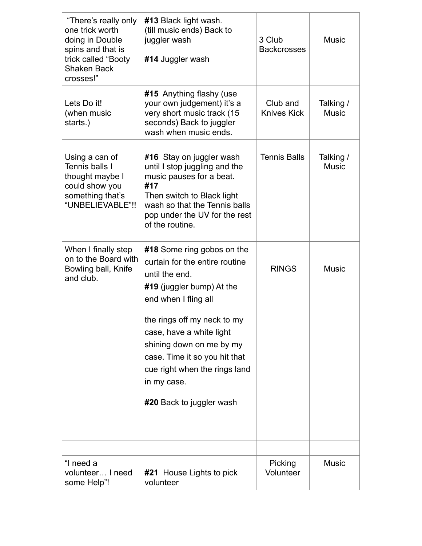| "There's really only<br>one trick worth<br>doing in Double<br>spins and that is<br>trick called "Booty<br><b>Shaken Back</b><br>crosses!" | #13 Black light wash.<br>(till music ends) Back to<br>juggler wash<br>#14 Juggler wash                                                                                                                          | 3 Club<br><b>Backcrosses</b>   | <b>Music</b>              |
|-------------------------------------------------------------------------------------------------------------------------------------------|-----------------------------------------------------------------------------------------------------------------------------------------------------------------------------------------------------------------|--------------------------------|---------------------------|
| Lets Do it!<br>(when music<br>starts.)                                                                                                    | #15 Anything flashy (use<br>your own judgement) it's a<br>very short music track (15<br>seconds) Back to juggler<br>wash when music ends.                                                                       | Club and<br><b>Knives Kick</b> | Talking /<br><b>Music</b> |
| Using a can of<br>Tennis balls I<br>thought maybe I<br>could show you<br>something that's<br>"UNBELIEVABLE"!!                             | #16 Stay on juggler wash<br>until I stop juggling and the<br>music pauses for a beat.<br>#17<br>Then switch to Black light<br>wash so that the Tennis balls<br>pop under the UV for the rest<br>of the routine. | <b>Tennis Balls</b>            | Talking /<br><b>Music</b> |
| When I finally step<br>on to the Board with<br>Bowling ball, Knife<br>and club.                                                           | #18 Some ring gobos on the<br>curtain for the entire routine<br>until the end.<br>$#19$ (juggler bump) At the<br>end when I fling all                                                                           | <b>RINGS</b>                   | <b>Music</b>              |
|                                                                                                                                           | the rings off my neck to my<br>case, have a white light<br>shining down on me by my<br>case. Time it so you hit that<br>cue right when the rings land<br>in my case.<br>#20 Back to juggler wash                |                                |                           |
|                                                                                                                                           |                                                                                                                                                                                                                 |                                |                           |
| "I need a<br>volunteer I need<br>some Help"!                                                                                              | #21 House Lights to pick<br>volunteer                                                                                                                                                                           | Picking<br>Volunteer           | <b>Music</b>              |